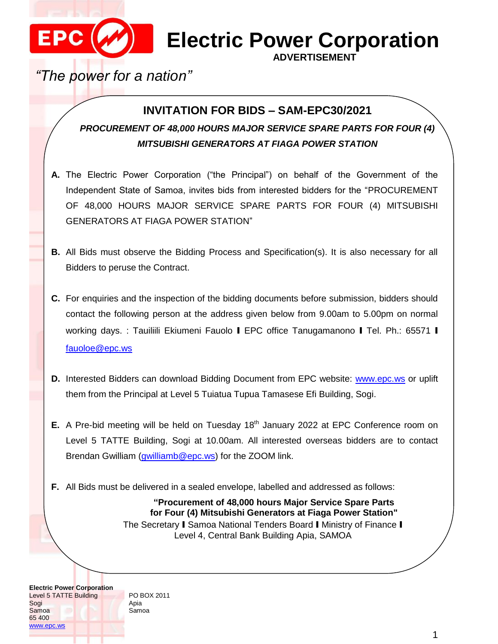

## **MEXELECTRIC Power Corporation**

**ADVERTISEMENT**

*"The power for a nation"*

## **INVITATION FOR BIDS – SAM-EPC30/2021**

*PROCUREMENT OF 48,000 HOURS MAJOR SERVICE SPARE PARTS FOR FOUR (4) MITSUBISHI GENERATORS AT FIAGA POWER STATION*

- **A.** The Electric Power Corporation ("the Principal") on behalf of the Government of the Independent State of Samoa, invites bids from interested bidders for the "PROCUREMENT OF 48,000 HOURS MAJOR SERVICE SPARE PARTS FOR FOUR (4) MITSUBISHI GENERATORS AT FIAGA POWER STATION"
- **B.** All Bids must observe the Bidding Process and Specification(s). It is also necessary for all Bidders to peruse the Contract.
- **C.** For enquiries and the inspection of the bidding documents before submission, bidders should contact the following person at the address given below from 9.00am to 5.00pm on normal working days. : Tauiliili Ekiumeni Fauolo I EPC office Tanugamanono I Tel. Ph.: 65571 I [fauoloe@epc.ws](mailto:fauoloe@epc.ws)
- **D.** Interested Bidders can download Bidding Document from EPC website: [www.epc.ws](http://www.epc.ws/) or uplift them from the Principal at Level 5 Tuiatua Tupua Tamasese Efi Building, Sogi.
- **E.** A Pre-bid meeting will be held on Tuesday 18<sup>th</sup> January 2022 at EPC Conference room on Level 5 TATTE Building, Sogi at 10.00am. All interested overseas bidders are to contact Brendan Gwilliam [\(gwilliamb@epc.ws\)](mailto:gwilliamb@epc.ws) for the ZOOM link.
- **F.** All Bids must be delivered in a sealed envelope, labelled and addressed as follows:

**"Procurement of 48,000 hours Major Service Spare Parts for Four (4) Mitsubishi Generators at Fiaga Power Station"** The Secretary I Samoa National Tenders Board I Ministry of Finance I Level 4, Central Bank Building Apia, SAMOA

**Electric Power Corporation** Level 5 TATTE Building Sogi Samoa 65 400 [www.epc.ws](http://www.epc.ws/)

PO BOX 2011 Apia Samoa